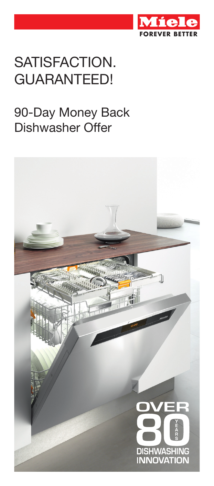

# SATISFACTION. **GUARANTEED!**

#### 90-Day Money Back Dishwasher Offer

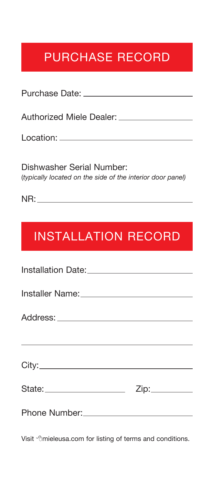### PURCHASE RECORD

Purchase Date:

Authorized Miele Dealer: \_\_\_\_\_\_\_\_\_\_\_\_\_\_\_\_\_

Location:

Dishwasher Serial Number: (*typically located on the side of the interior door panel)*

NR:

## INSTALLATION RECORD

| <u> 1980 - Andrea Station Andrea Station (1980), actor a contradictor (1980), actor (1980), actor (1980), actor</u> |  |
|---------------------------------------------------------------------------------------------------------------------|--|
|                                                                                                                     |  |
|                                                                                                                     |  |
|                                                                                                                     |  |

Visit <sup>-</sup> thieleusa.com for listing of terms and conditions.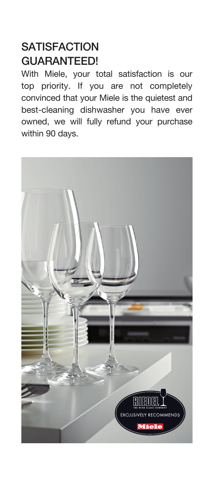#### **SATISFACTION** GUARANTEED!

With Miele, your total satisfaction is our top priority. If you are not completely convinced that your Miele is the quietest and best-cleaning dishwasher you have ever owned, we will fully refund your purchase within 90 days.